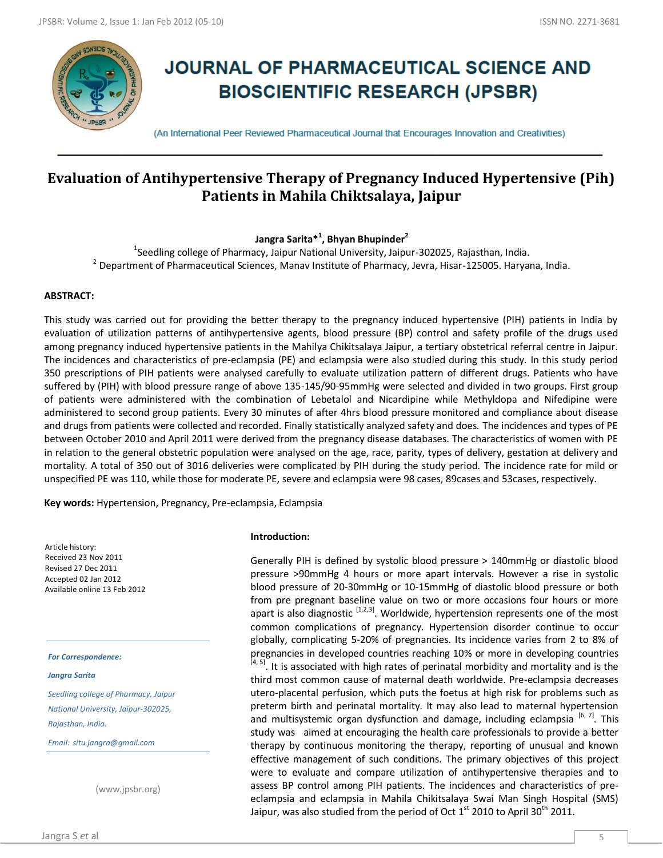

# **JOURNAL OF PHARMACEUTICAL SCIENCE AND BIOSCIENTIFIC RESEARCH (JPSBR)**

(An International Peer Reviewed Pharmaceutical Journal that Encourages Innovation and Creativities)

# **Evaluation of Antihypertensive Therapy of Pregnancy Induced Hypertensive (Pih) Patients in Mahila Chiktsalaya, Jaipur**

**Jangra Sarita\*<sup>1</sup> , Bhyan Bhupinder<sup>2</sup>**

<sup>1</sup>Seedling college of Pharmacy, Jaipur National University, Jaipur-302025, Rajasthan, India.  $^{2}$  Department of Pharmaceutical Sciences, Manav Institute of Pharmacy, Jevra, Hisar-125005. Haryana, India.

#### **ABSTRACT:**

This study was carried out for providing the better therapy to the pregnancy induced hypertensive (PIH) patients in India by evaluation of utilization patterns of antihypertensive agents, blood pressure (BP) control and safety profile of the drugs used among pregnancy induced hypertensive patients in the Mahilya Chikitsalaya Jaipur, a tertiary obstetrical referral centre in Jaipur. The incidences and characteristics of pre-eclampsia (PE) and eclampsia were also studied during this study. In this study period 350 prescriptions of PIH patients were analysed carefully to evaluate utilization pattern of different drugs. Patients who have suffered by (PIH) with blood pressure range of above 135-145/90-95mmHg were selected and divided in two groups. First group of patients were administered with the combination of Lebetalol and Nicardipine while Methyldopa and Nifedipine were administered to second group patients. Every 30 minutes of after 4hrs blood pressure monitored and compliance about disease and drugs from patients were collected and recorded. Finally statistically analyzed safety and does. The incidences and types of PE between October 2010 and April 2011 were derived from the pregnancy disease databases. The characteristics of women with PE in relation to the general obstetric population were analysed on the age, race, parity, types of delivery, gestation at delivery and mortality. A total of 350 out of 3016 deliveries were complicated by PIH during the study period. The incidence rate for mild or unspecified PE was 110, while those for moderate PE, severe and eclampsia were 98 cases, 89cases and 53cases, respectively.

**Key words:** Hypertension, Pregnancy, Pre-eclampsia, Eclampsia

Article history: Received 23 Nov 2011 Revised 27 Dec 2011 Accepted 02 Jan 2012 Available online 13 Feb 2012

*For Correspondence:*

*Jangra Sarita*

*Seedling college of Pharmacy, Jaipur National University, Jaipur-302025, Rajasthan, India.*

*Email: situ.jangra@gmail.com*

(www.jpsbr.org)

#### **Introduction:**

Generally PIH is defined by systolic blood pressure > 140mmHg or diastolic blood pressure >90mmHg 4 hours or more apart intervals. However a rise in systolic blood pressure of 20-30mmHg or 10-15mmHg of diastolic blood pressure or both from pre pregnant baseline value on two or more occasions four hours or more apart is also diagnostic  $[1,2,3]$ . Worldwide, hypertension represents one of the most common complications of pregnancy. Hypertension disorder continue to occur globally, complicating 5-20% of pregnancies. Its incidence varies from 2 to 8% of pregnancies in developed countries reaching 10% or more in developing countries  $[4, 5]$ . It is associated with high rates of perinatal morbidity and mortality and is the third most common cause of maternal death worldwide. Pre-eclampsia decreases utero-placental perfusion, which puts the foetus at high risk for problems such as preterm birth and perinatal mortality. It may also lead to maternal hypertension and multisystemic organ dysfunction and damage, including eclampsia  $[6, 7]$ . This study was aimed at encouraging the health care professionals to provide a better therapy by continuous monitoring the therapy, reporting of unusual and known effective management of such conditions. The primary objectives of this project were to evaluate and compare utilization of antihypertensive therapies and to assess BP control among PIH patients. The incidences and characteristics of preeclampsia and eclampsia in Mahila Chikitsalaya Swai Man Singh Hospital (SMS) Jaipur, was also studied from the period of Oct  $1<sup>st</sup>$  2010 to April 30<sup>th</sup> 2011.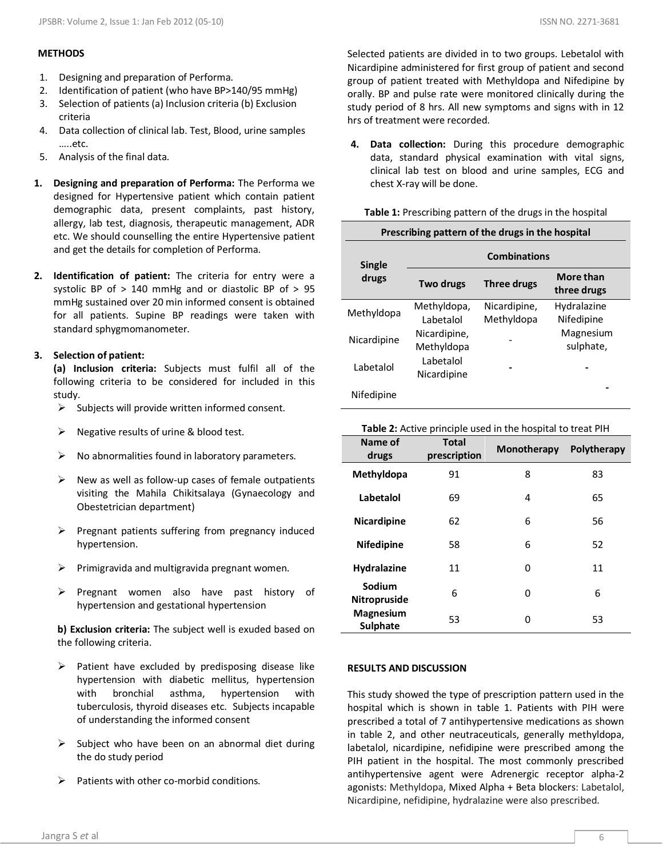#### **METHODS**

- 1. Designing and preparation of Performa.
- 2. Identification of patient (who have BP>140/95 mmHg)
- 3. Selection of patients (a) Inclusion criteria (b) Exclusion criteria
- 4. Data collection of clinical lab. Test, Blood, urine samples …..etc.
- 5. Analysis of the final data.
- **1. Designing and preparation of Performa:** The Performa we designed for Hypertensive patient which contain patient demographic data, present complaints, past history, allergy, lab test, diagnosis, therapeutic management, ADR etc. We should counselling the entire Hypertensive patient and get the details for completion of Performa.
- **2. Identification of patient:** The criteria for entry were a systolic BP of > 140 mmHg and or diastolic BP of > 95 mmHg sustained over 20 min informed consent is obtained for all patients. Supine BP readings were taken with standard sphygmomanometer.

## **3. Selection of patient:**

**(a) Inclusion criteria:** Subjects must fulfil all of the following criteria to be considered for included in this study.

- $\triangleright$  Subjects will provide written informed consent.
- $\triangleright$  Negative results of urine & blood test.
- $\triangleright$  No abnormalities found in laboratory parameters.
- $\triangleright$  New as well as follow-up cases of female outpatients visiting the Mahila Chikitsalaya (Gynaecology and Obestetrician department)
- $\triangleright$  Pregnant patients suffering from pregnancy induced hypertension.
- $\triangleright$  Primigravida and multigravida pregnant women.
- $\triangleright$  Pregnant women also have past history of hypertension and gestational hypertension

**b) Exclusion criteria:** The subject well is exuded based on the following criteria.

- $\triangleright$  Patient have excluded by predisposing disease like hypertension with diabetic mellitus, hypertension with bronchial asthma, hypertension with tuberculosis, thyroid diseases etc. Subjects incapable of understanding the informed consent
- $\triangleright$  Subject who have been on an abnormal diet during the do study period
- $\triangleright$  Patients with other co-morbid conditions.

Selected patients are divided in to two groups. Lebetalol with Nicardipine administered for first group of patient and second group of patient treated with Methyldopa and Nifedipine by orally. BP and pulse rate were monitored clinically during the study period of 8 hrs. All new symptoms and signs with in 12 hrs of treatment were recorded.

**4. Data collection:** During this procedure demographic data, standard physical examination with vital signs, clinical lab test on blood and urine samples, ECG and chest X-ray will be done.

| Prescribing pattern of the drugs in the hospital |                            |                            |                           |  |
|--------------------------------------------------|----------------------------|----------------------------|---------------------------|--|
| <b>Single</b>                                    | <b>Combinations</b>        |                            |                           |  |
| drugs                                            | Two drugs                  | Three drugs                | More than<br>three drugs  |  |
| Methyldopa                                       | Methyldopa,<br>Labetalol   | Nicardipine,<br>Methyldopa | Hydralazine<br>Nifedipine |  |
| Nicardipine                                      | Nicardipine,<br>Methyldopa |                            | Magnesium<br>sulphate,    |  |
| Labetalol                                        | Labetalol<br>Nicardipine   |                            |                           |  |
| Nifedipine                                       |                            |                            |                           |  |

**Table 2:** Active principle used in the hospital to treat PIH

| Name of<br>drugs                    | <b>Total</b><br>prescription | Monotherapy | Polytherapy |
|-------------------------------------|------------------------------|-------------|-------------|
| Methyldopa                          | 91                           | 8           | 83          |
| Labetalol                           | 69                           | 4           | 65          |
| <b>Nicardipine</b>                  | 62                           | 6           | 56          |
| <b>Nifedipine</b>                   | 58                           | 6           | 52          |
| <b>Hydralazine</b>                  | 11                           | 0           | 11          |
| Sodium<br><b>Nitropruside</b>       | 6                            | 0           | 6           |
| <b>Magnesium</b><br><b>Sulphate</b> | 53                           | ი           | 53          |

### **RESULTS AND DISCUSSION**

This study showed the type of prescription pattern used in the hospital which is shown in table 1. Patients with PIH were prescribed a total of 7 antihypertensive medications as shown in table 2, and other neutraceuticals, generally methyldopa, labetalol, nicardipine, nefidipine were prescribed among the PIH patient in the hospital. The most commonly prescribed antihypertensive agent were Adrenergic receptor alpha-2 agonists: Methyldopa, Mixed Alpha + Beta blockers: Labetalol, Nicardipine, nefidipine, hydralazine were also prescribed.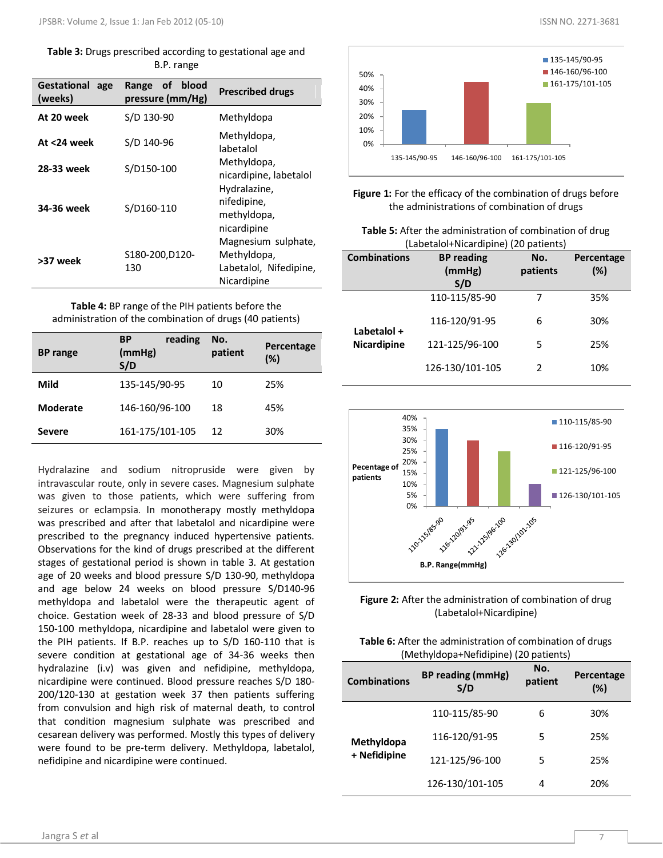**Table 3:** Drugs prescribed according to gestational age and B.P. range

| <b>Gestational</b><br>age<br>(weeks) | of<br>blood<br>Range<br>pressure (mm/Hg) | <b>Prescribed drugs</b>                                                     |
|--------------------------------------|------------------------------------------|-----------------------------------------------------------------------------|
| At 20 week                           | S/D 130-90                               | Methyldopa                                                                  |
| At <24 week                          | S/D 140-96                               | Methyldopa,<br>labetalol                                                    |
| 28-33 week                           | S/D150-100                               | Methyldopa,<br>nicardipine, labetalol                                       |
| 34-36 week                           | S/D160-110                               | Hydralazine,<br>nifedipine,<br>methyldopa,<br>nicardipine                   |
| >37 week                             | S180-200, D120-<br>130                   | Magnesium sulphate,<br>Methyldopa,<br>Labetalol, Nifedipine,<br>Nicardipine |

**Table 4:** BP range of the PIH patients before the administration of the combination of drugs (40 patients)

| <b>BP</b> range | reading<br><b>BP</b><br>(mmHg)<br>S/D | No.<br>patient | Percentage<br>(%) |
|-----------------|---------------------------------------|----------------|-------------------|
| Mild            | 135-145/90-95                         | 10             | 25%               |
| <b>Moderate</b> | 146-160/96-100                        | 18             | 45%               |
| <b>Severe</b>   | 161-175/101-105                       | 12             | 30%               |

Hydralazine and sodium nitropruside were given by intravascular route, only in severe cases. Magnesium sulphate was given to those patients, which were suffering from seizures or eclampsia. In monotherapy mostly methyldopa was prescribed and after that labetalol and nicardipine were prescribed to the pregnancy induced hypertensive patients. Observations for the kind of drugs prescribed at the different stages of gestational period is shown in table 3. At gestation age of 20 weeks and blood pressure S/D 130-90, methyldopa and age below 24 weeks on blood pressure S/D140-96 methyldopa and labetalol were the therapeutic agent of choice. Gestation week of 28-33 and blood pressure of S/D 150-100 methyldopa, nicardipine and labetalol were given to the PIH patients. If B.P. reaches up to S/D 160-110 that is severe condition at gestational age of 34-36 weeks then hydralazine (i.v) was given and nefidipine, methyldopa, nicardipine were continued. Blood pressure reaches S/D 180- 200/120-130 at gestation week 37 then patients suffering from convulsion and high risk of maternal death, to control that condition magnesium sulphate was prescribed and cesarean delivery was performed. Mostly this types of delivery were found to be pre-term delivery. Methyldopa, labetalol, nefidipine and nicardipine were continued.



**Figure 1:** For the efficacy of the combination of drugs before the administrations of combination of drugs

| <b>Table 5:</b> After the administration of combination of drug |
|-----------------------------------------------------------------|
| (Labetalol+Nicardipine) (20 patients)                           |

| <b>Combinations</b>               | <b>BP</b> reading<br>(mmHg)<br>S/D | No.<br>patients | Percentage<br>(%) |
|-----------------------------------|------------------------------------|-----------------|-------------------|
|                                   | 110-115/85-90                      |                 | 35%               |
| Labetalol +<br><b>Nicardipine</b> | 116-120/91-95                      | 6               | 30%               |
|                                   | 121-125/96-100                     | 5               | 25%               |
|                                   | 126-130/101-105                    |                 | 10%               |





| <b>Table 6:</b> After the administration of combination of drugs |
|------------------------------------------------------------------|
| (Methyldopa+Nefidipine) (20 patients)                            |

| <b>Combinations</b>        | BP reading (mmHg)<br>S/D | No.<br>patient | Percentage<br>(%) |
|----------------------------|--------------------------|----------------|-------------------|
|                            | 110-115/85-90            | 6              | 30%               |
| Methyldopa<br>+ Nefidipine | 116-120/91-95            | 5              | 25%               |
|                            | 121-125/96-100           | 5              | 25%               |
|                            | 126-130/101-105          | 4              | 20%               |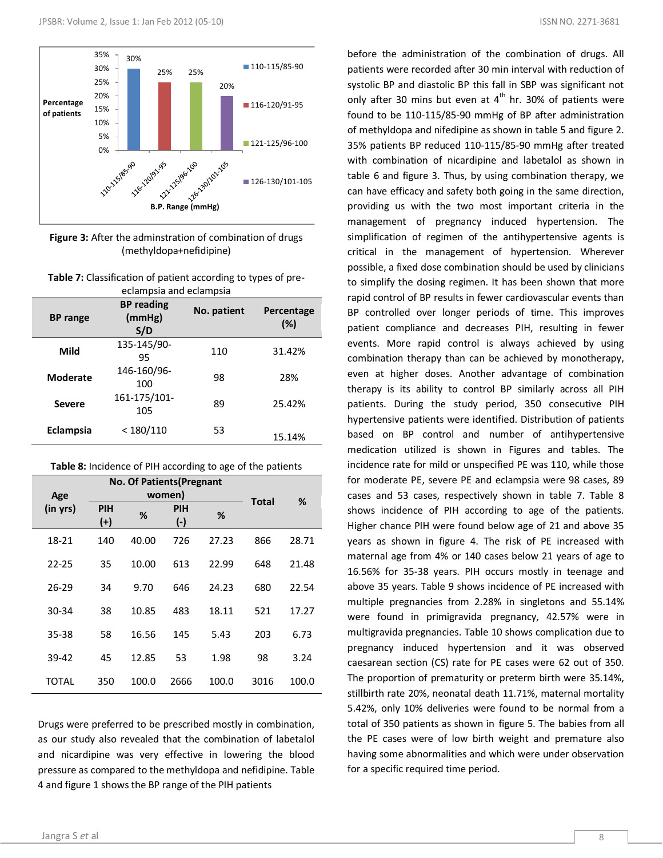

**Figure 3:** After the adminstration of combination of drugs (methyldopa+nefidipine)

| <b>Table 7:</b> Classification of patient according to types of pre- |
|----------------------------------------------------------------------|
| eclampsia and eclampsia                                              |

| <b>BP</b> range | <b>BP</b> reading<br>(mmHg)<br>S/D | No. patient | Percentage<br>(%) |
|-----------------|------------------------------------|-------------|-------------------|
| Mild            | 135-145/90-<br>95                  | 110         | 31.42%            |
| Moderate        | 146-160/96-<br>100                 | 98          | 28%               |
| <b>Severe</b>   | 161-175/101-<br>105                | 89          | 25.42%            |
| Eclampsia       | < 180/110                          | 53          | 15.14%            |

| Table 8: Incidence of PIH according to age of the patients |  |  |  |  |
|------------------------------------------------------------|--|--|--|--|
|------------------------------------------------------------|--|--|--|--|

| <b>No. Of Patients (Pregnant</b> |                     |       |                     |       |       |       |
|----------------------------------|---------------------|-------|---------------------|-------|-------|-------|
| Age                              | women)              |       |                     |       | Total | %     |
| (in yrs)                         | <b>PIH</b><br>$(+)$ | %     | <b>PIH</b><br>$(-)$ | %     |       |       |
| 18-21                            | 140                 | 40.00 | 726                 | 27.23 | 866   | 28.71 |
| $22 - 25$                        | 35                  | 10.00 | 613                 | 22.99 | 648   | 21.48 |
| $26 - 29$                        | 34                  | 9.70  | 646                 | 24.23 | 680   | 22.54 |
| 30-34                            | 38                  | 10.85 | 483                 | 18.11 | 521   | 17.27 |
| 35-38                            | 58                  | 16.56 | 145                 | 5.43  | 203   | 6.73  |
| 39-42                            | 45                  | 12.85 | 53                  | 1.98  | 98    | 3.24  |
| TOTAL                            | 350                 | 100.0 | 2666                | 100.0 | 3016  | 100.0 |

Drugs were preferred to be prescribed mostly in combination, as our study also revealed that the combination of labetalol and nicardipine was very effective in lowering the blood pressure as compared to the methyldopa and nefidipine. Table 4 and figure 1 shows the BP range of the PIH patients

patients were recorded after 30 min interval with reduction of systolic BP and diastolic BP this fall in SBP was significant not only after 30 mins but even at  $4<sup>th</sup>$  hr. 30% of patients were found to be 110-115/85-90 mmHg of BP after administration of methyldopa and nifedipine as shown in table 5 and figure 2. 35% patients BP reduced 110-115/85-90 mmHg after treated with combination of nicardipine and labetalol as shown in table 6 and figure 3. Thus, by using combination therapy, we can have efficacy and safety both going in the same direction, providing us with the two most important criteria in the management of pregnancy induced hypertension. The simplification of regimen of the antihypertensive agents is critical in the management of hypertension. Wherever possible, a fixed dose combination should be used by clinicians to simplify the dosing regimen. It has been shown that more rapid control of BP results in fewer cardiovascular events than BP controlled over longer periods of time. This improves patient compliance and decreases PIH, resulting in fewer events. More rapid control is always achieved by using combination therapy than can be achieved by monotherapy, even at higher doses. Another advantage of combination therapy is its ability to control BP similarly across all PIH patients. During the study period, 350 consecutive PIH hypertensive patients were identified. Distribution of patients based on BP control and number of antihypertensive medication utilized is shown in Figures and tables. The incidence rate for mild or unspecified PE was 110, while those for moderate PE, severe PE and eclampsia were 98 cases, 89 cases and 53 cases, respectively shown in table 7. Table 8 shows incidence of PIH according to age of the patients. Higher chance PIH were found below age of 21 and above 35 years as shown in figure 4. The risk of PE increased with maternal age from 4% or 140 cases below 21 years of age to 16.56% for 35-38 years. PIH occurs mostly in teenage and above 35 years. Table 9 shows incidence of PE increased with multiple pregnancies from 2.28% in singletons and 55.14% were found in primigravida pregnancy, 42.57% were in multigravida pregnancies. Table 10 shows complication due to pregnancy induced hypertension and it was observed caesarean section (CS) rate for PE cases were 62 out of 350. The proportion of prematurity or preterm birth were 35.14%, stillbirth rate 20%, neonatal death 11.71%, maternal mortality 5.42%, only 10% deliveries were found to be normal from a total of 350 patients as shown in figure 5. The babies from all the PE cases were of low birth weight and premature also having some abnormalities and which were under observation for a specific required time period.

before the administration of the combination of drugs. All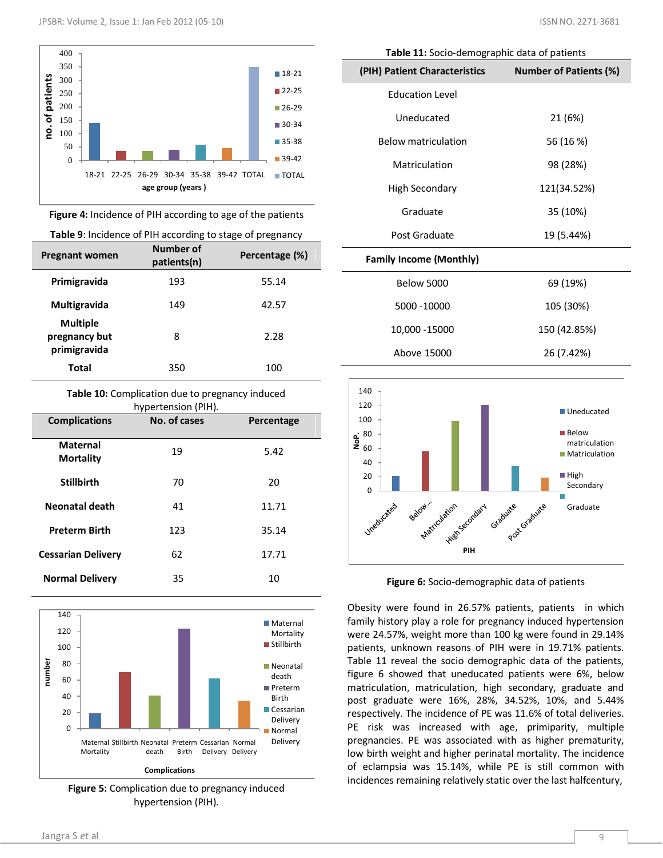

**Figure 4:** Incidence of PIH according to age of the patients

**Table 9**: Incidence of PIH according to stage of pregnancy

| .o-<br>r - -o                                    |                          |                |
|--------------------------------------------------|--------------------------|----------------|
| <b>Pregnant women</b>                            | Number of<br>patients(n) | Percentage (%) |
| Primigravida                                     | 193                      | 55.14          |
| Multigravida                                     | 149                      | 42.57          |
| <b>Multiple</b><br>pregnancy but<br>primigravida | 8                        | 2.28           |
| Total                                            | 350                      | 100            |

**Table 10:** Complication due to pregnancy induced hypertension (PIH).

| <b>Complications</b>         | No. of cases | Percentage |
|------------------------------|--------------|------------|
| Maternal<br><b>Mortality</b> | 19           | 5.42       |
| <b>Stillbirth</b>            | 70           | 20         |
| Neonatal death               | 41           | 11.71      |
| <b>Preterm Birth</b>         | 123          | 35.14      |
| <b>Cessarian Delivery</b>    | 62           | 17.71      |
| <b>Normal Delivery</b>       | 35           | 10         |



**Figure 5:** Complication due to pregnancy induced hypertension (PIH).

| Table 11: Socio-demographic data of patients |                               |  |  |  |
|----------------------------------------------|-------------------------------|--|--|--|
| (PIH) Patient Characteristics                | <b>Number of Patients (%)</b> |  |  |  |
| <b>Education Level</b>                       |                               |  |  |  |
| Uneducated                                   | 21 (6%)                       |  |  |  |
| <b>Below matriculation</b>                   | 56 (16 %)                     |  |  |  |
| Matriculation                                | 98 (28%)                      |  |  |  |
| High Secondary                               | 121(34.52%)                   |  |  |  |
| Graduate                                     | 35 (10%)                      |  |  |  |

**Family Income (Monthly)**

| <b>Below 5000</b> | 69 (19%)     |
|-------------------|--------------|
| 5000 -10000       | 105 (30%)    |
| 10,000 - 15000    | 150 (42.85%) |
| Above 15000       | 26 (7.42%)   |

Post Graduate 19 (5.44%)



**Figure 6:** Socio-demographic data of patients

Obesity were found in 26.57% patients, patients in which family history play a role for pregnancy induced hypertension were 24.57%, weight more than 100 kg were found in 29.14% patients, unknown reasons of PIH were in 19.71% patients. Table 11 reveal the socio demographic data of the patients, figure 6 showed that uneducated patients were 6%, below matriculation, matriculation, high secondary, graduate and post graduate were 16%, 28%, 34.52%, 10%, and 5.44% respectively. The incidence of PE was 11.6% of total deliveries. PE risk was increased with age, primiparity, multiple pregnancies. PE was associated with as higher prematurity, low birth weight and higher perinatal mortality. The incidence of eclampsia was 15.14%, while PE is still common with incidences remaining relatively static over the last halfcentury,